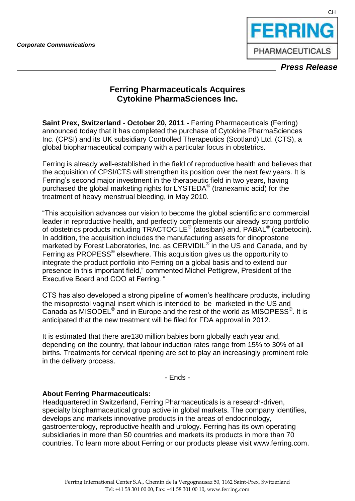

## **Ferring Pharmaceuticals Acquires Cytokine PharmaSciences Inc.**

**Saint Prex, Switzerland - October 20, 2011 -** Ferring Pharmaceuticals (Ferring) announced today that it has completed the purchase of Cytokine PharmaSciences Inc. (CPSI) and its UK subsidiary Controlled Therapeutics (Scotland) Ltd. (CTS), a global biopharmaceutical company with a particular focus in obstetrics.

Ferring is already well-established in the field of reproductive health and believes that the acquisition of CPSI/CTS will strengthen its position over the next few years. It is Ferring's second major investment in the therapeutic field in two years, having purchased the global marketing rights for LYSTEDA® (tranexamic acid) for the treatment of heavy menstrual bleeding, in May 2010.

"This acquisition advances our vision to become the global scientific and commercial leader in reproductive health, and perfectly complements our already strong portfolio of obstetrics products including TRACTOCILE<sup>®</sup> (atosiban) and, PABAL<sup>®</sup> (carbetocin). In addition, the acquisition includes the manufacturing assets for dinoprostone marketed by Forest Laboratories, Inc. as CERVIDIL<sup>®</sup> in the US and Canada, and by Ferring as PROPESS<sup>®</sup> elsewhere. This acquisition gives us the opportunity to integrate the product portfolio into Ferring on a global basis and to extend our presence in this important field," commented Michel Pettigrew, President of the Executive Board and COO at Ferring. "

CTS has also developed a strong pipeline of women's healthcare products, including the misoprostol vaginal insert which is intended to be marketed in the US and Canada as MISODEL<sup>®</sup> and in Europe and the rest of the world as MISOPESS<sup>®</sup>. It is anticipated that the new treatment will be filed for FDA approval in 2012.

It is estimated that there are130 million babies born globally each year and, depending on the country, that labour induction rates range from 15% to 30% of all births. Treatments for cervical ripening are set to play an increasingly prominent role in the delivery process.

- Ends -

## **About Ferring Pharmaceuticals:**

Headquartered in Switzerland, Ferring Pharmaceuticals is a research-driven, specialty biopharmaceutical group active in global markets. The company identifies, develops and markets innovative products in the areas of endocrinology, gastroenterology, reproductive health and urology. Ferring has its own operating subsidiaries in more than 50 countries and markets its products in more than 70 countries. To learn more about Ferring or our products please visit www.ferring.com.